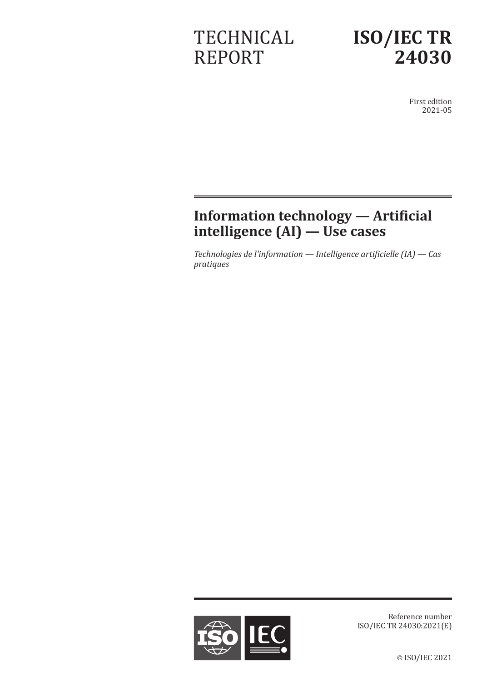# **TECHNICAL** REPORT



First edition 2021-05

## **Information technology — Artificial intelligence (AI) — Use cases**

*Technologies de l'information — Intelligence artificielle (IA) — Cas pratiques*



Reference number ISO/IEC TR 24030:2021(E)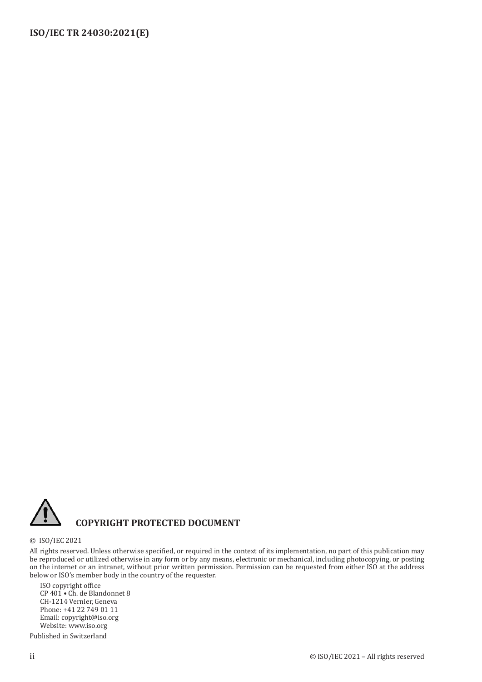

#### **COPYRIGHT PROTECTED DOCUMENT**

© ISO/IEC 2021

All rights reserved. Unless otherwise specified, or required in the context of its implementation, no part of this publication may be reproduced or utilized otherwise in any form or by any means, electronic or mechanical, including photocopying, or posting on the internet or an intranet, without prior written permission. Permission can be requested from either ISO at the address below or ISO's member body in the country of the requester.

ISO copyright office CP 401 • Ch. de Blandonnet 8 CH-1214 Vernier, Geneva Phone: +41 22 749 01 11 Email: copyright@iso.org Website: www.iso.org

Published in Switzerland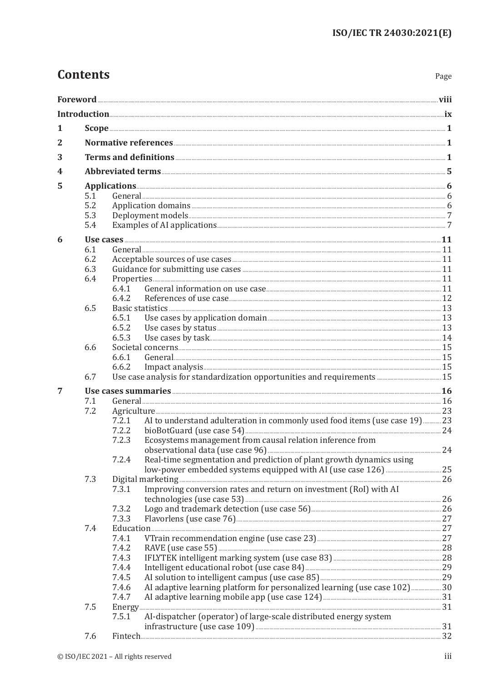Page

| 1 |            |                                                                                                                 |  |
|---|------------|-----------------------------------------------------------------------------------------------------------------|--|
| 2 |            |                                                                                                                 |  |
| 3 |            |                                                                                                                 |  |
| 4 |            |                                                                                                                 |  |
| 5 |            |                                                                                                                 |  |
|   | 5.1        |                                                                                                                 |  |
|   | 5.2        |                                                                                                                 |  |
|   | 5.3<br>5.4 |                                                                                                                 |  |
|   |            |                                                                                                                 |  |
| 6 |            | Use cases 21 March 2014 and 2015 and 2016 and 2017 and 2018 and 2018 and 2019 and 2018 and 2019 and 2019 and 20 |  |
|   | 6.1<br>6.2 |                                                                                                                 |  |
|   | 6.3        |                                                                                                                 |  |
|   | 6.4        |                                                                                                                 |  |
|   |            | 6.4.1                                                                                                           |  |
|   |            | 6.4.2                                                                                                           |  |
|   | 6.5        |                                                                                                                 |  |
|   |            | 6.5.1<br>6.5.2                                                                                                  |  |
|   |            | 6.5.3                                                                                                           |  |
|   | 6.6        |                                                                                                                 |  |
|   |            | 6.6.1                                                                                                           |  |
|   |            | 6.6.2                                                                                                           |  |
|   | 6.7        |                                                                                                                 |  |
| 7 |            | Use cases summaries <b><i>immunities</i> 16</b>                                                                 |  |
|   | 7.1        |                                                                                                                 |  |
|   | 7.2        | AI to understand adulteration in commonly used food items (use case 19) 23<br>7.2.1                             |  |
|   |            | 7.2.2                                                                                                           |  |
|   |            | Ecosystems management from causal relation inference from<br>7.2.3                                              |  |
|   |            |                                                                                                                 |  |
|   |            | Real-time segmentation and prediction of plant growth dynamics using<br>7.2.4                                   |  |
|   |            |                                                                                                                 |  |
|   | 7.3        | Improving conversion rates and return on investment (RoI) with AI<br>7.3.1                                      |  |
|   |            |                                                                                                                 |  |
|   |            | 7.3.2                                                                                                           |  |
|   |            | 7.3.3                                                                                                           |  |
|   | 7.4        | $Education  \hspace*{20pt}  \  \, 27$                                                                           |  |
|   |            | 7.4.1                                                                                                           |  |
|   |            | 7.4.2<br>7.4.3                                                                                                  |  |
|   |            | 7.4.4                                                                                                           |  |
|   |            | 7.4.5                                                                                                           |  |
|   |            | AI adaptive learning platform for personalized learning (use case 102)30<br>7.4.6                               |  |
|   |            | 7.4.7                                                                                                           |  |
|   | 7.5        |                                                                                                                 |  |
|   |            | 7.5.1<br>AI-dispatcher (operator) of large-scale distributed energy system                                      |  |
|   | 7.6        |                                                                                                                 |  |
|   |            |                                                                                                                 |  |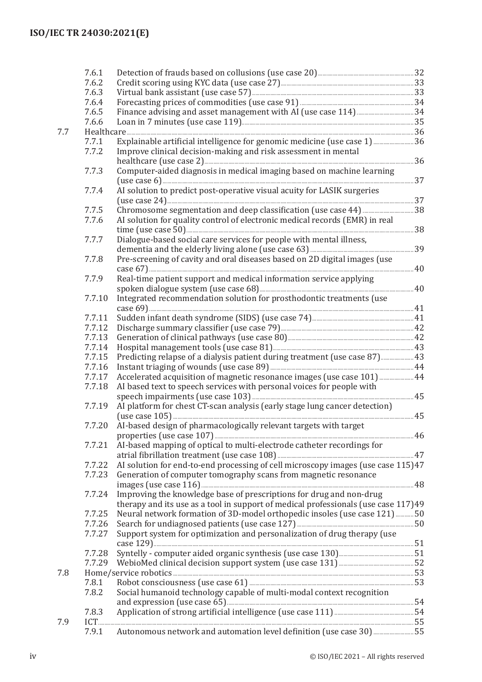|     | 7.6.1  |                                                                                    |  |
|-----|--------|------------------------------------------------------------------------------------|--|
|     | 7.6.2  |                                                                                    |  |
|     | 7.6.3  |                                                                                    |  |
|     | 7.6.4  |                                                                                    |  |
|     | 7.6.5  |                                                                                    |  |
|     | 7.6.6  |                                                                                    |  |
| 7.7 |        |                                                                                    |  |
|     | 7.7.1  | Explainable artificial intelligence for genomic medicine (use case 1)  36          |  |
|     | 7.7.2  | Improve clinical decision-making and risk assessment in mental                     |  |
|     |        | healthcare (use case 2) <b>Manual Equation Control</b> and 36                      |  |
|     | 7.7.3  | Computer-aided diagnosis in medical imaging based on machine learning              |  |
|     |        |                                                                                    |  |
|     | 7.7.4  | AI solution to predict post-operative visual acuity for LASIK surgeries            |  |
|     |        |                                                                                    |  |
|     | 7.7.5  |                                                                                    |  |
|     | 7.7.6  | AI solution for quality control of electronic medical records (EMR) in real        |  |
|     |        |                                                                                    |  |
|     | 7.7.7  | Dialogue-based social care services for people with mental illness,                |  |
|     |        |                                                                                    |  |
|     | 7.7.8  | Pre-screening of cavity and oral diseases based on 2D digital images (use          |  |
|     |        |                                                                                    |  |
|     | 7.7.9  | Real-time patient support and medical information service applying                 |  |
|     |        |                                                                                    |  |
|     | 7.7.10 | Integrated recommendation solution for prosthodontic treatments (use               |  |
|     |        |                                                                                    |  |
|     | 7.7.11 |                                                                                    |  |
|     | 7.7.12 |                                                                                    |  |
|     | 7.7.13 |                                                                                    |  |
|     | 7.7.14 |                                                                                    |  |
|     | 7.7.15 | Predicting relapse of a dialysis patient during treatment (use case 87) 43         |  |
|     | 7.7.16 |                                                                                    |  |
|     | 7.7.17 |                                                                                    |  |
|     | 7.7.18 | AI based text to speech services with personal voices for people with              |  |
|     |        |                                                                                    |  |
|     | 7.7.19 | AI platform for chest CT-scan analysis (early stage lung cancer detection)         |  |
|     |        |                                                                                    |  |
|     | 7.7.20 | AI-based design of pharmacologically relevant targets with target                  |  |
|     |        |                                                                                    |  |
|     | 7.7.21 | AI-based mapping of optical to multi-electrode catheter recordings for             |  |
|     |        |                                                                                    |  |
|     | 7.7.22 | AI solution for end-to-end processing of cell microscopy images (use case 115)47   |  |
|     | 7.7.23 | Generation of computer tomography scans from magnetic resonance                    |  |
|     |        |                                                                                    |  |
|     | 7.7.24 | Improving the knowledge base of prescriptions for drug and non-drug                |  |
|     |        | therapy and its use as a tool in support of medical professionals (use case 117)49 |  |
|     | 7.7.25 | Neural network formation of 3D-model orthopedic insoles (use case 121)50           |  |
|     | 7.7.26 |                                                                                    |  |
|     | 7.7.27 | Support system for optimization and personalization of drug therapy (use           |  |
|     |        |                                                                                    |  |
|     | 7.7.28 |                                                                                    |  |
|     | 7.7.29 |                                                                                    |  |
| 7.8 |        |                                                                                    |  |
|     | 7.8.1  |                                                                                    |  |
|     | 7.8.2  | Social humanoid technology capable of multi-modal context recognition              |  |
|     |        |                                                                                    |  |
|     | 7.8.3  |                                                                                    |  |
| 7.9 |        |                                                                                    |  |
|     | 7.9.1  | Autonomous network and automation level definition (use case 30)55                 |  |
|     |        |                                                                                    |  |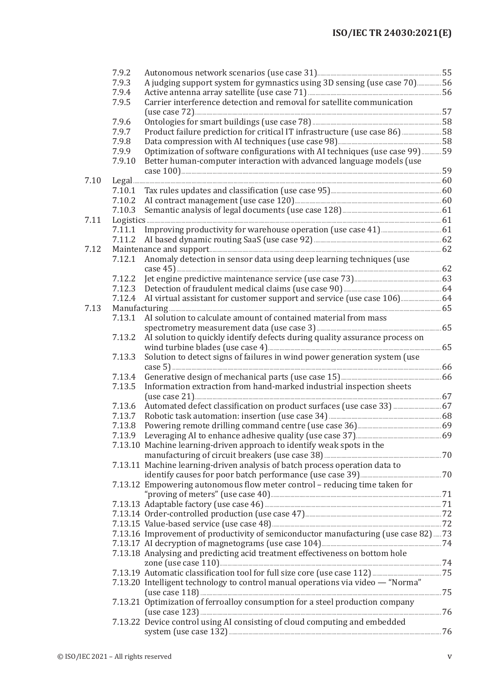|      | 7.9.2  |                                                                                    |  |
|------|--------|------------------------------------------------------------------------------------|--|
|      | 7.9.3  | A judging support system for gymnastics using 3D sensing (use case 70)56           |  |
|      | 7.9.4  |                                                                                    |  |
|      | 7.9.5  | Carrier interference detection and removal for satellite communication             |  |
|      |        |                                                                                    |  |
|      | 7.9.6  |                                                                                    |  |
|      | 7.9.7  | Product failure prediction for critical IT infrastructure (use case 86)  58        |  |
|      | 7.9.8  |                                                                                    |  |
|      | 7.9.9  | Optimization of software configurations with AI techniques (use case 99)  59       |  |
|      | 7.9.10 | Better human-computer interaction with advanced language models (use               |  |
|      |        |                                                                                    |  |
| 7.10 |        |                                                                                    |  |
|      | 7.10.1 |                                                                                    |  |
|      | 7.10.2 |                                                                                    |  |
|      | 7.10.3 |                                                                                    |  |
| 7.11 |        |                                                                                    |  |
|      | 7.11.1 |                                                                                    |  |
|      | 7.11.2 |                                                                                    |  |
| 7.12 |        |                                                                                    |  |
|      | 7.12.1 | Anomaly detection in sensor data using deep learning techniques (use               |  |
|      |        |                                                                                    |  |
|      |        |                                                                                    |  |
|      |        |                                                                                    |  |
|      | 7.12.4 |                                                                                    |  |
| 7.13 |        |                                                                                    |  |
|      | 7.13.1 | AI solution to calculate amount of contained material from mass                    |  |
|      |        |                                                                                    |  |
|      | 7.13.2 | AI solution to quickly identify defects during quality assurance process on        |  |
|      | 7.13.3 | Solution to detect signs of failures in wind power generation system (use          |  |
|      |        |                                                                                    |  |
|      | 7.13.4 |                                                                                    |  |
|      | 7.13.5 | Information extraction from hand-marked industrial inspection sheets               |  |
|      |        |                                                                                    |  |
|      | 7.13.6 | Automated defect classification on product surfaces (use case 33)  67              |  |
|      | 7.13.7 |                                                                                    |  |
|      |        |                                                                                    |  |
|      |        |                                                                                    |  |
|      |        | 7.13.10 Machine learning-driven approach to identify weak spots in the             |  |
|      |        |                                                                                    |  |
|      |        | 7.13.11 Machine learning-driven analysis of batch process operation data to        |  |
|      |        |                                                                                    |  |
|      |        | 7.13.12 Empowering autonomous flow meter control - reducing time taken for         |  |
|      |        |                                                                                    |  |
|      |        |                                                                                    |  |
|      |        |                                                                                    |  |
|      |        |                                                                                    |  |
|      |        |                                                                                    |  |
|      |        | 7.13.16 Improvement of productivity of semiconductor manufacturing (use case 82)73 |  |
|      |        |                                                                                    |  |
|      |        | 7.13.18 Analysing and predicting acid treatment effectiveness on bottom hole       |  |
|      |        |                                                                                    |  |
|      |        | 7.13.20 Intelligent technology to control manual operations via video - "Norma"    |  |
|      |        |                                                                                    |  |
|      |        | 7.13.21 Optimization of ferroalloy consumption for a steel production company      |  |
|      |        |                                                                                    |  |
|      |        | 7.13.22 Device control using AI consisting of cloud computing and embedded         |  |
|      |        |                                                                                    |  |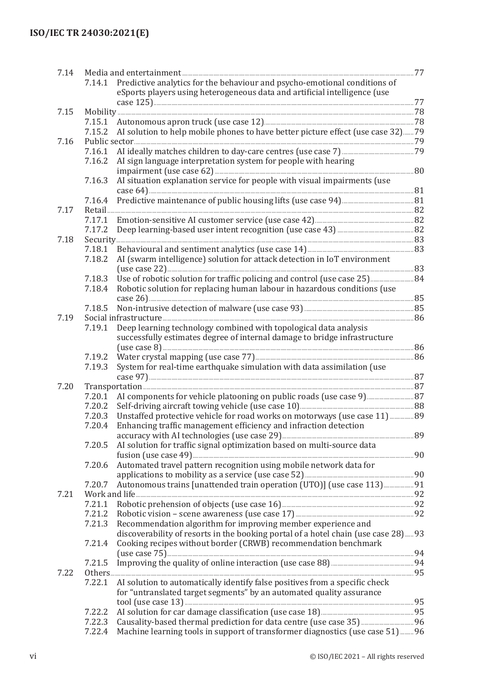| 7.14 |        |                                                                                                                                                                                                                               |  |
|------|--------|-------------------------------------------------------------------------------------------------------------------------------------------------------------------------------------------------------------------------------|--|
|      | 7.14.1 | Predictive analytics for the behaviour and psycho-emotional conditions of                                                                                                                                                     |  |
|      |        | eSports players using heterogeneous data and artificial intelligence (use                                                                                                                                                     |  |
|      |        |                                                                                                                                                                                                                               |  |
| 7.15 |        |                                                                                                                                                                                                                               |  |
|      | 7.15.1 |                                                                                                                                                                                                                               |  |
|      |        |                                                                                                                                                                                                                               |  |
|      | 7.15.2 | AI solution to help mobile phones to have better picture effect (use case 32) 79                                                                                                                                              |  |
| 7.16 |        |                                                                                                                                                                                                                               |  |
|      | 7.16.1 |                                                                                                                                                                                                                               |  |
|      | 7.16.2 | AI sign language interpretation system for people with hearing                                                                                                                                                                |  |
|      |        |                                                                                                                                                                                                                               |  |
|      | 7.16.3 | AI situation explanation service for people with visual impairments (use                                                                                                                                                      |  |
|      |        |                                                                                                                                                                                                                               |  |
|      | 7.16.4 |                                                                                                                                                                                                                               |  |
| 7.17 |        |                                                                                                                                                                                                                               |  |
|      | 7.17.1 |                                                                                                                                                                                                                               |  |
|      | 7.17.2 |                                                                                                                                                                                                                               |  |
| 7.18 |        |                                                                                                                                                                                                                               |  |
|      | 7.18.1 |                                                                                                                                                                                                                               |  |
|      | 7.18.2 | AI (swarm intelligence) solution for attack detection in IoT environment                                                                                                                                                      |  |
|      |        |                                                                                                                                                                                                                               |  |
|      | 7.18.3 |                                                                                                                                                                                                                               |  |
|      |        |                                                                                                                                                                                                                               |  |
|      | 7.18.4 | Robotic solution for replacing human labour in hazardous conditions (use                                                                                                                                                      |  |
|      |        |                                                                                                                                                                                                                               |  |
|      | 7.18.5 |                                                                                                                                                                                                                               |  |
| 7.19 |        | Social infrastructure 266 and 200 million 200 million 200 million 200 million 200 million 200 million 200 million 200 million 200 million 200 million 200 million 200 million 200 million 200 million 200 million 200 million |  |
|      | 7.19.1 | Deep learning technology combined with topological data analysis                                                                                                                                                              |  |
|      |        | successfully estimates degree of internal damage to bridge infrastructure                                                                                                                                                     |  |
|      |        |                                                                                                                                                                                                                               |  |
|      | 7.19.2 |                                                                                                                                                                                                                               |  |
|      | 7.19.3 | System for real-time earthquake simulation with data assimilation (use                                                                                                                                                        |  |
|      |        |                                                                                                                                                                                                                               |  |
| 7.20 |        |                                                                                                                                                                                                                               |  |
|      | 7.20.1 | AI components for vehicle platooning on public roads (use case 9)  87                                                                                                                                                         |  |
|      | 7.20.2 |                                                                                                                                                                                                                               |  |
|      | 7.20.3 | Unstaffed protective vehicle for road works on motorways (use case 11)  89                                                                                                                                                    |  |
|      | 7.20.4 | Enhancing traffic management efficiency and infraction detection                                                                                                                                                              |  |
|      |        |                                                                                                                                                                                                                               |  |
|      | 7.20.5 | AI solution for traffic signal optimization based on multi-source data                                                                                                                                                        |  |
|      |        |                                                                                                                                                                                                                               |  |
|      | 7.20.6 | Automated travel pattern recognition using mobile network data for                                                                                                                                                            |  |
|      |        |                                                                                                                                                                                                                               |  |
|      |        |                                                                                                                                                                                                                               |  |
|      | 7.20.7 | Autonomous trains [unattended train operation (UTO)] (use case 113) 91                                                                                                                                                        |  |
| 7.21 |        |                                                                                                                                                                                                                               |  |
|      | 7.21.1 |                                                                                                                                                                                                                               |  |
|      | 7.21.2 |                                                                                                                                                                                                                               |  |
|      | 7.21.3 | Recommendation algorithm for improving member experience and                                                                                                                                                                  |  |
|      |        | discoverability of resorts in the booking portal of a hotel chain (use case 28) 93                                                                                                                                            |  |
|      | 7.21.4 | Cooking recipes without border (CRWB) recommendation benchmark                                                                                                                                                                |  |
|      |        |                                                                                                                                                                                                                               |  |
|      | 7.21.5 |                                                                                                                                                                                                                               |  |
| 7.22 |        |                                                                                                                                                                                                                               |  |
|      | 7.22.1 | AI solution to automatically identify false positives from a specific check                                                                                                                                                   |  |
|      |        | for "untranslated target segments" by an automated quality assurance                                                                                                                                                          |  |
|      |        |                                                                                                                                                                                                                               |  |
|      | 7.22.2 |                                                                                                                                                                                                                               |  |
|      | 7.22.3 |                                                                                                                                                                                                                               |  |
|      | 7.22.4 | Machine learning tools in support of transformer diagnostics (use case 51) 96                                                                                                                                                 |  |
|      |        |                                                                                                                                                                                                                               |  |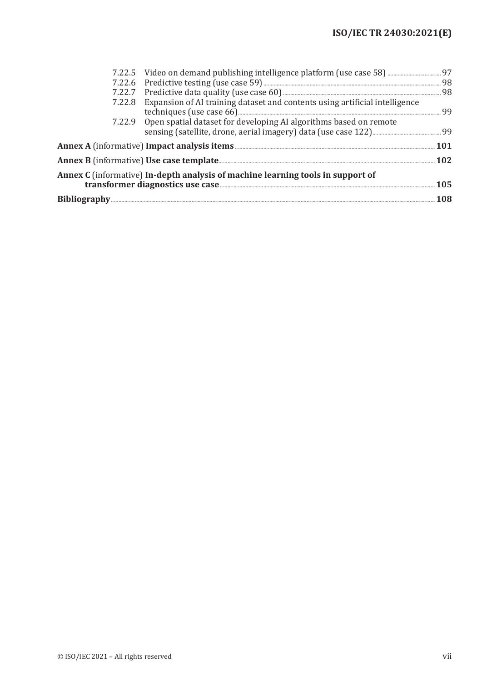| 7.22.8 Expansion of AI training dataset and contents using artificial intelligence |     |
|------------------------------------------------------------------------------------|-----|
| 7.22.9 Open spatial dataset for developing AI algorithms based on remote           |     |
|                                                                                    |     |
|                                                                                    |     |
| Annex C (informative) In-depth analysis of machine learning tools in support of    | 105 |
|                                                                                    |     |
|                                                                                    |     |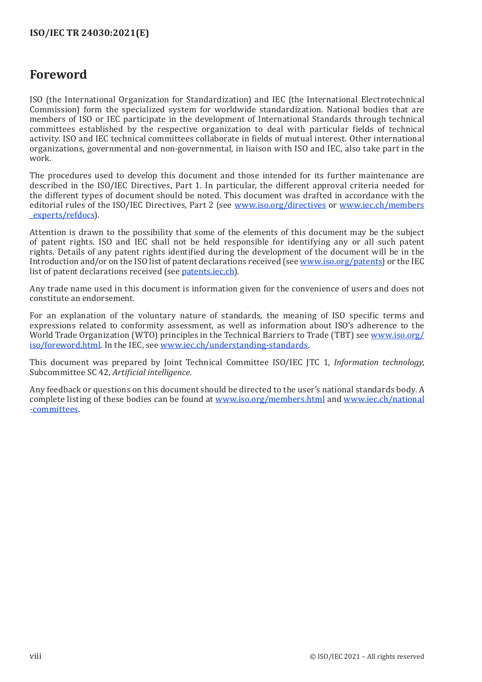## <span id="page-7-0"></span>**Foreword**

ISO (the International Organization for Standardization) and IEC (the International Electrotechnical Commission) form the specialized system for worldwide standardization. National bodies that are members of ISO or IEC participate in the development of International Standards through technical committees established by the respective organization to deal with particular fields of technical activity. ISO and IEC technical committees collaborate in fields of mutual interest. Other international organizations, governmental and non-governmental, in liaison with ISO and IEC, also take part in the work.

The procedures used to develop this document and those intended for its further maintenance are described in the ISO/IEC Directives, Part 1. In particular, the different approval criteria needed for the different types of document should be noted. This document was drafted in accordance with the editorial rules of the ISO/IEC Directives, Part 2 (see [www.iso.org/directives](http://www.iso.org/directives) or [www.iec.ch/members](http://www.iec.ch/members_experts/refdocs) [\\_experts/](http://www.iec.ch/members_experts/refdocs)refdocs).

Attention is drawn to the possibility that some of the elements of this document may be the subject of patent rights. ISO and IEC shall not be held responsible for identifying any or all such patent rights. Details of any patent rights identified during the development of the document will be in the Introduction and/or on the ISO list of patent declarations received (see [www.iso.org/](https://www.iso.org/iso-standards-and-patents.html)patents) or the IEC list of patent declarations received (see [patents.iec.ch](https://patents.iec.ch)).

Any trade name used in this document is information given for the convenience of users and does not constitute an endorsement.

For an explanation of the voluntary nature of standards, the meaning of ISO specific terms and expressions related to conformity assessment, as well as information about ISO's adherence to the World Trade Organization (WTO) principles in the Technical Barriers to Trade (TBT) see [www.iso.org/](http://www.iso.org/iso/foreword.html) [iso/foreword.html](http://www.iso.org/iso/foreword.html). In the IEC, see www.iec.ch/[understanding-standards](https://www.iec.ch/understanding-standards).

This document was prepared by Joint Technical Committee ISO/IEC JTC 1, *Information technology*, Subcommittee SC 42, *Artificial intelligence*.

Any feedback or questions on this document should be directed to the user's national standards body. A complete listing of these bodies can be found at [www.iso.org/members.html](http://www.iso.org/members.html) and [www.iec.ch/](http://www.iec.ch/national-committees)national [-committees.](http://www.iec.ch/national-committees)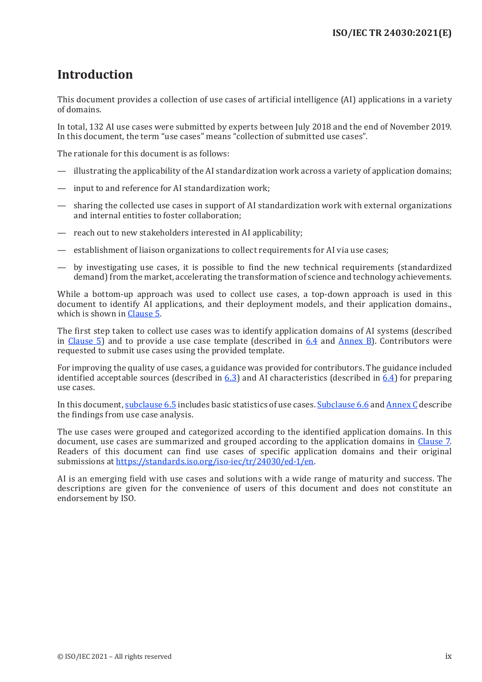## <span id="page-8-0"></span>**Introduction**

This document provides a collection of use cases of artificial intelligence (AI) applications in a variety of domains.

In total, 132 AI use cases were submitted by experts between July 2018 and the end of November 2019. In this document, the term "use cases" means "collection of submitted use cases".

The rationale for this document is as follows:

- illustrating the applicability of the AI standardization work across a variety of application domains;
- input to and reference for AI standardization work;
- sharing the collected use cases in support of AI standardization work with external organizations and internal entities to foster collaboration;
- reach out to new stakeholders interested in AI applicability;
- establishment of liaison organizations to collect requirements for AI via use cases;
- by investigating use cases, it is possible to find the new technical requirements (standardized demand) from the market, accelerating the transformation of science and technology achievements.

While a bottom-up approach was used to collect use cases, a top-down approach is used in this document to identify AI applications, and their deployment models, and their application domains., which is shown in Clause 5.

The first step taken to collect use cases was to identify application domains of AI systems (described in Clause 5) and to provide a use case template (described in 6.4 and Annex B). Contributors were requested to submit use cases using the provided template.

For improving the quality of use cases, a guidance was provided for contributors. The guidance included identified acceptable sources (described in  $6.3$ ) and AI characteristics (described in  $6.4$ ) for preparing use cases.

In this document, subclause 6.5 includes basic statistics of use cases. Subclause 6.6 and Annex C describe the findings from use case analysis.

The use cases were grouped and categorized according to the identified application domains. In this document, use cases are summarized and grouped according to the application domains in Clause 7. Readers of this document can find use cases of specific application domains and their original submissions at https://standards[.iso.org/iso-iec/tr/24030/ed-1/en.](https://standards.iso.org/iso-iec/tr/24030/ed-1/en)

AI is an emerging field with use cases and solutions with a wide range of maturity and success. The descriptions are given for the convenience of users of this document and does not constitute an endorsement by ISO.